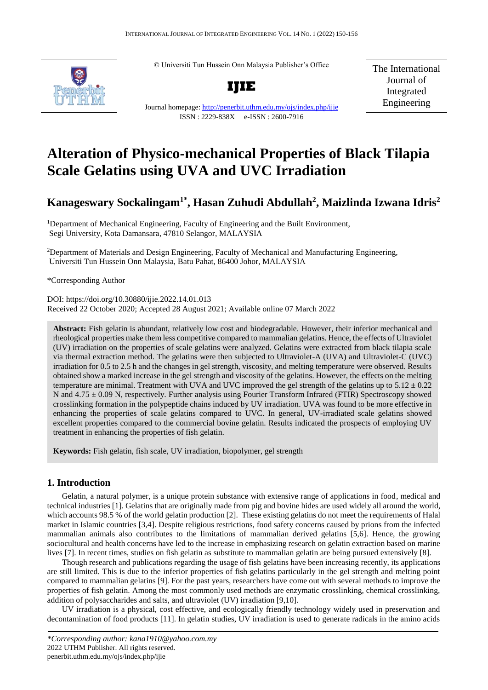© Universiti Tun Hussein Onn Malaysia Publisher's Office

**IJIE**



Journal homepage:<http://penerbit.uthm.edu.my/ojs/index.php/ijie> ISSN : 2229-838X e-ISSN : 2600-7916

The International Journal of Integrated Engineering

# **Alteration of Physico-mechanical Properties of Black Tilapia Scale Gelatins using UVA and UVC Irradiation**

# **Kanageswary Sockalingam1\* , Hasan Zuhudi Abdullah<sup>2</sup> , Maizlinda Izwana Idris<sup>2</sup>**

<sup>1</sup>Department of Mechanical Engineering, Faculty of Engineering and the Built Environment, Segi University, Kota Damansara, 47810 Selangor, MALAYSIA

<sup>2</sup>Department of Materials and Design Engineering, Faculty of Mechanical and Manufacturing Engineering, Universiti Tun Hussein Onn Malaysia, Batu Pahat, 86400 Johor, MALAYSIA

\*Corresponding Author

DOI: https://doi.org/10.30880/ijie.2022.14.01.013 Received 22 October 2020; Accepted 28 August 2021; Available online 07 March 2022

**Abstract:** Fish gelatin is abundant, relatively low cost and biodegradable. However, their inferior mechanical and rheological properties make them less competitive compared to mammalian gelatins. Hence, the effects of Ultraviolet (UV) irradiation on the properties of scale gelatins were analyzed. Gelatins were extracted from black tilapia scale via thermal extraction method. The gelatins were then subjected to Ultraviolet-A (UVA) and Ultraviolet-C (UVC) irradiation for 0.5 to 2.5 h and the changes in gel strength, viscosity, and melting temperature were observed. Results obtained show a marked increase in the gel strength and viscosity of the gelatins. However, the effects on the melting temperature are minimal. Treatment with UVA and UVC improved the gel strength of the gelatins up to  $5.12 \pm 0.22$ N and 4.75 ± 0.09 N, respectively. Further analysis using Fourier Transform Infrared (FTIR) Spectroscopy showed crosslinking formation in the polypeptide chains induced by UV irradiation. UVA was found to be more effective in enhancing the properties of scale gelatins compared to UVC. In general, UV-irradiated scale gelatins showed excellent properties compared to the commercial bovine gelatin. Results indicated the prospects of employing UV treatment in enhancing the properties of fish gelatin.

**Keywords:** Fish gelatin, fish scale, UV irradiation, biopolymer, gel strength

## **1. Introduction**

Gelatin, a natural polymer, is a unique protein substance with extensive range of applications in food, medical and technical industries [1]. Gelatins that are originally made from pig and bovine hides are used widely all around the world, which accounts 98.5 % of the world gelatin production [2]. These existing gelatins do not meet the requirements of Halal market in Islamic countries [3,4]. Despite religious restrictions, food safety concerns caused by prions from the infected mammalian animals also contributes to the limitations of mammalian derived gelatins [5,6]. Hence, the growing sociocultural and health concerns have led to the increase in emphasizing research on gelatin extraction based on marine lives [7]. In recent times, studies on fish gelatin as substitute to mammalian gelatin are being pursued extensively [8].

Though research and publications regarding the usage of fish gelatins have been increasing recently, its applications are still limited. This is due to the inferior properties of fish gelatins particularly in the gel strength and melting point compared to mammalian gelatins [9]. For the past years, researchers have come out with several methods to improve the properties of fish gelatin. Among the most commonly used methods are enzymatic crosslinking, chemical crosslinking, addition of polysaccharides and salts, and ultraviolet (UV) irradiation [9,10].

UV irradiation is a physical, cost effective, and ecologically friendly technology widely used in preservation and decontamination of food products [11]. In gelatin studies, UV irradiation is used to generate radicals in the amino acids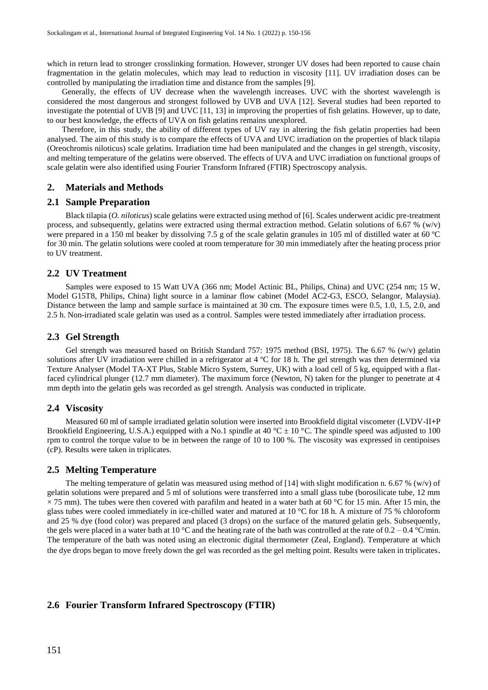which in return lead to stronger crosslinking formation. However, stronger UV doses had been reported to cause chain fragmentation in the gelatin molecules, which may lead to reduction in viscosity [11]. UV irradiation doses can be controlled by manipulating the irradiation time and distance from the samples [9].

Generally, the effects of UV decrease when the wavelength increases. UVC with the shortest wavelength is considered the most dangerous and strongest followed by UVB and UVA [12]. Several studies had been reported to investigate the potential of UVB [9] and UVC [11, 13] in improving the properties of fish gelatins. However, up to date, to our best knowledge, the effects of UVA on fish gelatins remains unexplored.

Therefore, in this study, the ability of different types of UV ray in altering the fish gelatin properties had been analysed. The aim of this study is to compare the effects of UVA and UVC irradiation on the properties of black tilapia (Oreochromis niloticus) scale gelatins. Irradiation time had been manipulated and the changes in gel strength, viscosity, and melting temperature of the gelatins were observed. The effects of UVA and UVC irradiation on functional groups of scale gelatin were also identified using Fourier Transform Infrared (FTIR) Spectroscopy analysis.

#### **2. Materials and Methods**

#### **2.1 Sample Preparation**

Black tilapia (*O. niloticus*) scale gelatins were extracted using method of [6]. Scales underwent acidic pre-treatment process, and subsequently, gelatins were extracted using thermal extraction method. Gelatin solutions of 6.67 % (w/v) were prepared in a 150 ml beaker by dissolving 7.5 g of the scale gelatin granules in 105 ml of distilled water at 60 ºC for 30 min. The gelatin solutions were cooled at room temperature for 30 min immediately after the heating process prior to UV treatment.

#### **2.2 UV Treatment**

Samples were exposed to 15 Watt UVA (366 nm; Model Actinic BL, Philips, China) and UVC (254 nm; 15 W, Model G15T8, Philips, China) light source in a laminar flow cabinet (Model AC2-G3, ESCO, Selangor, Malaysia). Distance between the lamp and sample surface is maintained at 30 cm. The exposure times were 0.5, 1.0, 1.5, 2.0, and 2.5 h. Non-irradiated scale gelatin was used as a control. Samples were tested immediately after irradiation process.

#### **2.3 Gel Strength**

Gel strength was measured based on British Standard 757: 1975 method (BSI, 1975). The 6.67 % (w/v) gelatin solutions after UV irradiation were chilled in a refrigerator at 4 ºC for 18 h. The gel strength was then determined via Texture Analyser (Model TA-XT Plus, Stable Micro System, Surrey, UK) with a load cell of 5 kg, equipped with a flatfaced cylindrical plunger (12.7 mm diameter). The maximum force (Newton, N) taken for the plunger to penetrate at 4 mm depth into the gelatin gels was recorded as gel strength. Analysis was conducted in triplicate.

#### **2.4 Viscosity**

Measured 60 ml of sample irradiated gelatin solution were inserted into Brookfield digital viscometer (LVDV-II**+**P Brookfield Engineering, U.S.A.) equipped with a No.1 spindle at 40 °C  $\pm$  10 °C. The spindle speed was adjusted to 100 rpm to control the torque value to be in between the range of 10 to 100 %. The viscosity was expressed in centipoises (cP). Results were taken in triplicates.

#### **2.5 Melting Temperature**

The melting temperature of gelatin was measured using method of [14] with slight modification n. 6.67 % (w/v) of gelatin solutions were prepared and 5 ml of solutions were transferred into a small glass tube (borosilicate tube, 12 mm  $\times$  75 mm). The tubes were then covered with parafilm and heated in a water bath at 60 °C for 15 min. After 15 min, the glass tubes were cooled immediately in ice-chilled water and matured at 10 °C for 18 h. A mixture of 75 % chloroform and 25 % dye (food color) was prepared and placed (3 drops) on the surface of the matured gelatin gels. Subsequently, the gels were placed in a water bath at 10 °C and the heating rate of the bath was controlled at the rate of  $0.2 - 0.4$  °C/min. The temperature of the bath was noted using an electronic digital thermometer (Zeal, England). Temperature at which the dye drops began to move freely down the gel was recorded as the gel melting point. Results were taken in triplicates.

#### **2.6 Fourier Transform Infrared Spectroscopy (FTIR)**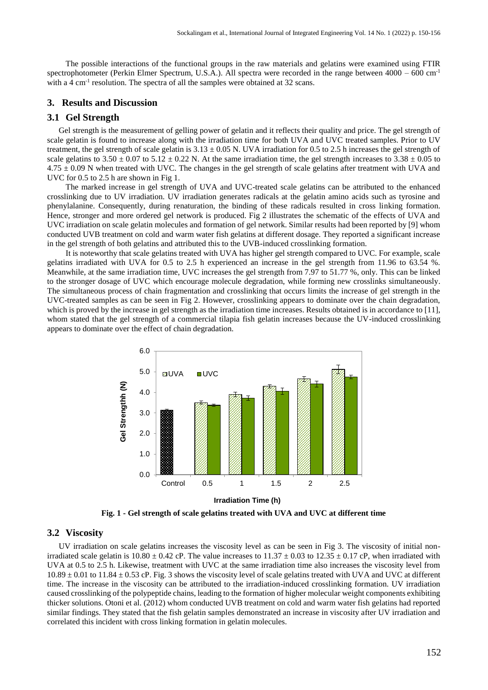The possible interactions of the functional groups in the raw materials and gelatins were examined using FTIR spectrophotometer (Perkin Elmer Spectrum, U.S.A.). All spectra were recorded in the range between  $4000 - 600$  cm<sup>-1</sup> with a 4 cm<sup>-1</sup> resolution. The spectra of all the samples were obtained at 32 scans.

# **3. Results and Discussion**

#### **3.1 Gel Strength**

Gel strength is the measurement of gelling power of gelatin and it reflects their quality and price. The gel strength of scale gelatin is found to increase along with the irradiation time for both UVA and UVC treated samples. Prior to UV treatment, the gel strength of scale gelatin is  $3.13 \pm 0.05$  N. UVA irradiation for 0.5 to 2.5 h increases the gel strength of scale gelatins to  $3.50 \pm 0.07$  to  $5.12 \pm 0.22$  N. At the same irradiation time, the gel strength increases to  $3.38 \pm 0.05$  to  $4.75 \pm 0.09$  N when treated with UVC. The changes in the gel strength of scale gelatins after treatment with UVA and UVC for 0.5 to 2.5 h are shown in Fig 1.

The marked increase in gel strength of UVA and UVC-treated scale gelatins can be attributed to the enhanced crosslinking due to UV irradiation. UV irradiation generates radicals at the gelatin amino acids such as tyrosine and phenylalanine. Consequently, during renaturation, the binding of these radicals resulted in cross linking formation. Hence, stronger and more ordered gel network is produced. Fig 2 illustrates the schematic of the effects of UVA and UVC irradiation on scale gelatin molecules and formation of gel network. Similar results had been reported by [9] whom conducted UVB treatment on cold and warm water fish gelatins at different dosage. They reported a significant increase in the gel strength of both gelatins and attributed this to the UVB-induced crosslinking formation.

It is noteworthy that scale gelatins treated with UVA has higher gel strength compared to UVC. For example, scale gelatins irradiated with UVA for 0.5 to 2.5 h experienced an increase in the gel strength from 11.96 to 63.54 %. Meanwhile, at the same irradiation time, UVC increases the gel strength from 7.97 to 51.77 %, only. This can be linked to the stronger dosage of UVC which encourage molecule degradation, while forming new crosslinks simultaneously. The simultaneous process of chain fragmentation and crosslinking that occurs limits the increase of gel strength in the UVC-treated samples as can be seen in Fig 2. However, crosslinking appears to dominate over the chain degradation, which is proved by the increase in gel strength as the irradiation time increases. Results obtained is in accordance to [11], whom stated that the gel strength of a commercial tilapia fish gelatin increases because the UV-induced crosslinking appears to dominate over the effect of chain degradation.



**Fig. 1 - Gel strength of scale gelatins treated with UVA and UVC at different time**

# **3.2 Viscosity**

UV irradiation on scale gelatins increases the viscosity level as can be seen in Fig 3. The viscosity of initial nonirradiated scale gelatin is  $10.80 \pm 0.42$  cP. The value increases to  $11.37 \pm 0.03$  to  $12.35 \pm 0.17$  cP, when irradiated with UVA at 0.5 to 2.5 h. Likewise, treatment with UVC at the same irradiation time also increases the viscosity level from  $10.89 \pm 0.01$  to  $11.84 \pm 0.53$  cP. Fig. 3 shows the viscosity level of scale gelatins treated with UVA and UVC at different time. The increase in the viscosity can be attributed to the irradiation-induced crosslinking formation. UV irradiation caused crosslinking of the polypeptide chains, leading to the formation of higher molecular weight components exhibiting thicker solutions. Otoni et al. (2012) whom conducted UVB treatment on cold and warm water fish gelatins had reported similar findings. They stated that the fish gelatin samples demonstrated an increase in viscosity after UV irradiation and correlated this incident with cross linking formation in gelatin molecules.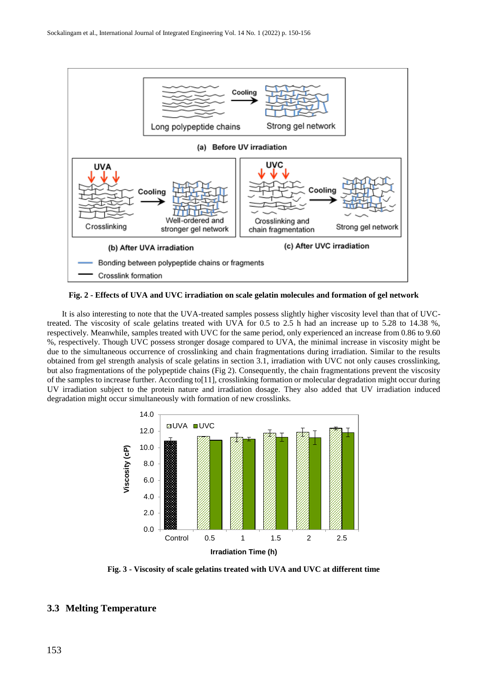

**Fig. 2 - Effects of UVA and UVC irradiation on scale gelatin molecules and formation of gel network**

It is also interesting to note that the UVA-treated samples possess slightly higher viscosity level than that of UVCtreated. The viscosity of scale gelatins treated with UVA for 0.5 to 2.5 h had an increase up to 5.28 to 14.38 %, respectively. Meanwhile, samples treated with UVC for the same period, only experienced an increase from 0.86 to 9.60 %, respectively. Though UVC possess stronger dosage compared to UVA, the minimal increase in viscosity might be due to the simultaneous occurrence of crosslinking and chain fragmentations during irradiation. Similar to the results obtained from gel strength analysis of scale gelatins in section 3.1, irradiation with UVC not only causes crosslinking, but also fragmentations of the polypeptide chains (Fig 2). Consequently, the chain fragmentations prevent the viscosity of the samples to increase further. According to[11], crosslinking formation or molecular degradation might occur during UV irradiation subject to the protein nature and irradiation dosage. They also added that UV irradiation induced degradation might occur simultaneously with formation of new crosslinks.



**Fig. 3 - Viscosity of scale gelatins treated with UVA and UVC at different time**

# **3.3 Melting Temperature**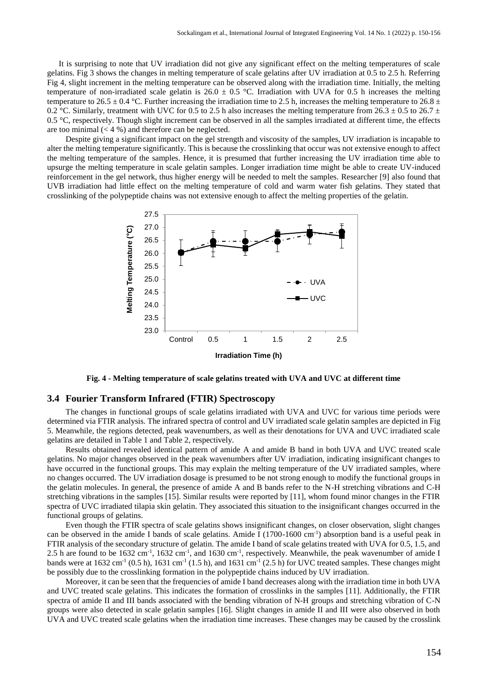It is surprising to note that UV irradiation did not give any significant effect on the melting temperatures of scale gelatins. Fig 3 shows the changes in melting temperature of scale gelatins after UV irradiation at 0.5 to 2.5 h. Referring Fig 4, slight increment in the melting temperature can be observed along with the irradiation time. Initially, the melting temperature of non-irradiated scale gelatin is  $26.0 \pm 0.5$  °C. Irradiation with UVA for 0.5 h increases the melting temperature to 26.5  $\pm$  0.4 °C. Further increasing the irradiation time to 2.5 h, increases the melting temperature to 26.8  $\pm$ 0.2 °C. Similarly, treatment with UVC for 0.5 to 2.5 h also increases the melting temperature from 26.3  $\pm$  0.5 to 26.7  $\pm$ 0.5  $\degree$ C, respectively. Though slight increment can be observed in all the samples irradiated at different time, the effects are too minimal  $(< 4 %$ ) and therefore can be neglected.

Despite giving a significant impact on the gel strength and viscosity of the samples, UV irradiation is incapable to alter the melting temperature significantly. This is because the crosslinking that occur was not extensive enough to affect the melting temperature of the samples. Hence, it is presumed that further increasing the UV irradiation time able to upsurge the melting temperature in scale gelatin samples. Longer irradiation time might be able to create UV-induced reinforcement in the gel network, thus higher energy will be needed to melt the samples. Researcher [9] also found that UVB irradiation had little effect on the melting temperature of cold and warm water fish gelatins. They stated that crosslinking of the polypeptide chains was not extensive enough to affect the melting properties of the gelatin.



**Fig. 4 - Melting temperature of scale gelatins treated with UVA and UVC at different time**

## **3.4 Fourier Transform Infrared (FTIR) Spectroscopy**

The changes in functional groups of scale gelatins irradiated with UVA and UVC for various time periods were determined via FTIR analysis. The infrared spectra of control and UV irradiated scale gelatin samples are depicted in Fig 5. Meanwhile, the regions detected, peak wavenumbers, as well as their denotations for UVA and UVC irradiated scale gelatins are detailed in Table 1 and Table 2, respectively.

Results obtained revealed identical pattern of amide A and amide B band in both UVA and UVC treated scale gelatins. No major changes observed in the peak wavenumbers after UV irradiation, indicating insignificant changes to have occurred in the functional groups. This may explain the melting temperature of the UV irradiated samples, where no changes occurred. The UV irradiation dosage is presumed to be not strong enough to modify the functional groups in the gelatin molecules. In general, the presence of amide A and B bands refer to the N-H stretching vibrations and C-H stretching vibrations in the samples [15]. Similar results were reported by [11], whom found minor changes in the FTIR spectra of UVC irradiated tilapia skin gelatin. They associated this situation to the insignificant changes occurred in the functional groups of gelatins.

Even though the FTIR spectra of scale gelatins shows insignificant changes, on closer observation, slight changes can be observed in the amide I bands of scale gelatins. Amide I  $(1700-1600 \text{ cm}^{-1})$  absorption band is a useful peak in FTIR analysis of the secondary structure of gelatin. The amide I band of scale gelatins treated with UVA for 0.5, 1.5, and 2.5 h are found to be  $1632 \text{ cm}^{-1}$ ,  $1632 \text{ cm}^{-1}$ , and  $1630 \text{ cm}^{-1}$ , respectively. Meanwhile, the peak wavenumber of amide I bands were at  $1632 \text{ cm}^{-1}$  (0.5 h),  $1631 \text{ cm}^{-1}$  (1.5 h), and  $1631 \text{ cm}^{-1}$  (2.5 h) for UVC treated samples. These changes might be possibly due to the crosslinking formation in the polypeptide chains induced by UV irradiation.

Moreover, it can be seen that the frequencies of amide I band decreases along with the irradiation time in both UVA and UVC treated scale gelatins. This indicates the formation of crosslinks in the samples [11]. Additionally, the FTIR spectra of amide II and III bands associated with the bending vibration of N-H groups and stretching vibration of C-N groups were also detected in scale gelatin samples [16]. Slight changes in amide II and III were also observed in both UVA and UVC treated scale gelatins when the irradiation time increases. These changes may be caused by the crosslink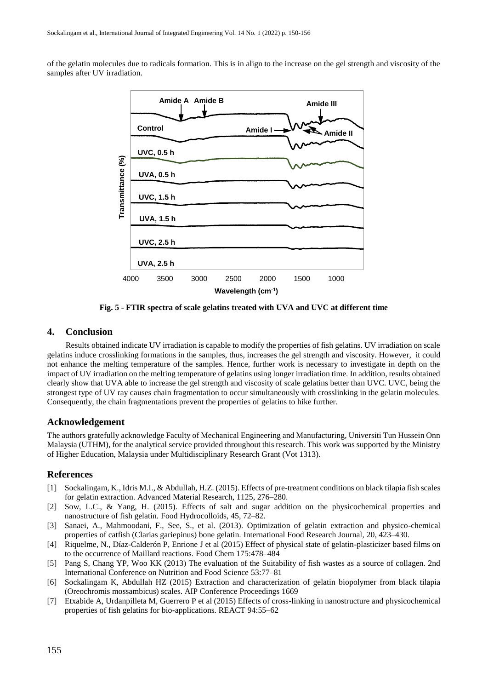of the gelatin molecules due to radicals formation. This is in align to the increase on the gel strength and viscosity of the samples after UV irradiation.



**Fig. 5 - FTIR spectra of scale gelatins treated with UVA and UVC at different time**

# **4. Conclusion**

Results obtained indicate UV irradiation is capable to modify the properties of fish gelatins. UV irradiation on scale gelatins induce crosslinking formations in the samples, thus, increases the gel strength and viscosity. However, it could not enhance the melting temperature of the samples. Hence, further work is necessary to investigate in depth on the impact of UV irradiation on the melting temperature of gelatins using longer irradiation time. In addition, results obtained clearly show that UVA able to increase the gel strength and viscosity of scale gelatins better than UVC. UVC, being the strongest type of UV ray causes chain fragmentation to occur simultaneously with crosslinking in the gelatin molecules. Consequently, the chain fragmentations prevent the properties of gelatins to hike further.

#### **Acknowledgement**

The authors gratefully acknowledge Faculty of Mechanical Engineering and Manufacturing, Universiti Tun Hussein Onn Malaysia (UTHM), for the analytical service provided throughout this research. This work was supported by the Ministry of Higher Education, Malaysia under Multidisciplinary Research Grant (Vot 1313).

#### **References**

- [1] Sockalingam, K., Idris M.I., & Abdullah, H.Z. (2015). Effects of pre-treatment conditions on black tilapia fish scales for gelatin extraction. Advanced Material Research, 1125, 276–280.
- [2] Sow, L.C., & Yang, H. (2015). Effects of salt and sugar addition on the physicochemical properties and nanostructure of fish gelatin. Food Hydrocolloids, 45, 72–82.
- [3] Sanaei, A., Mahmoodani, F., See, S., et al. (2013). Optimization of gelatin extraction and physico-chemical properties of catfish (Clarias gariepinus) bone gelatin. International Food Research Journal, 20, 423–430.
- [4] Riquelme, N., Díaz-Calderón P, Enrione J et al (2015) Effect of physical state of gelatin-plasticizer based films on to the occurrence of Maillard reactions. Food Chem 175:478–484
- [5] Pang S, Chang YP, Woo KK (2013) The evaluation of the Suitability of fish wastes as a source of collagen. 2nd International Conference on Nutrition and Food Science 53:77–81
- [6] Sockalingam K, Abdullah HZ (2015) Extraction and characterization of gelatin biopolymer from black tilapia (Oreochromis mossambicus) scales. AIP Conference Proceedings 1669
- [7] Etxabide A, Urdanpilleta M, Guerrero P et al (2015) Effects of cross-linking in nanostructure and physicochemical properties of fish gelatins for bio-applications. REACT 94:55–62